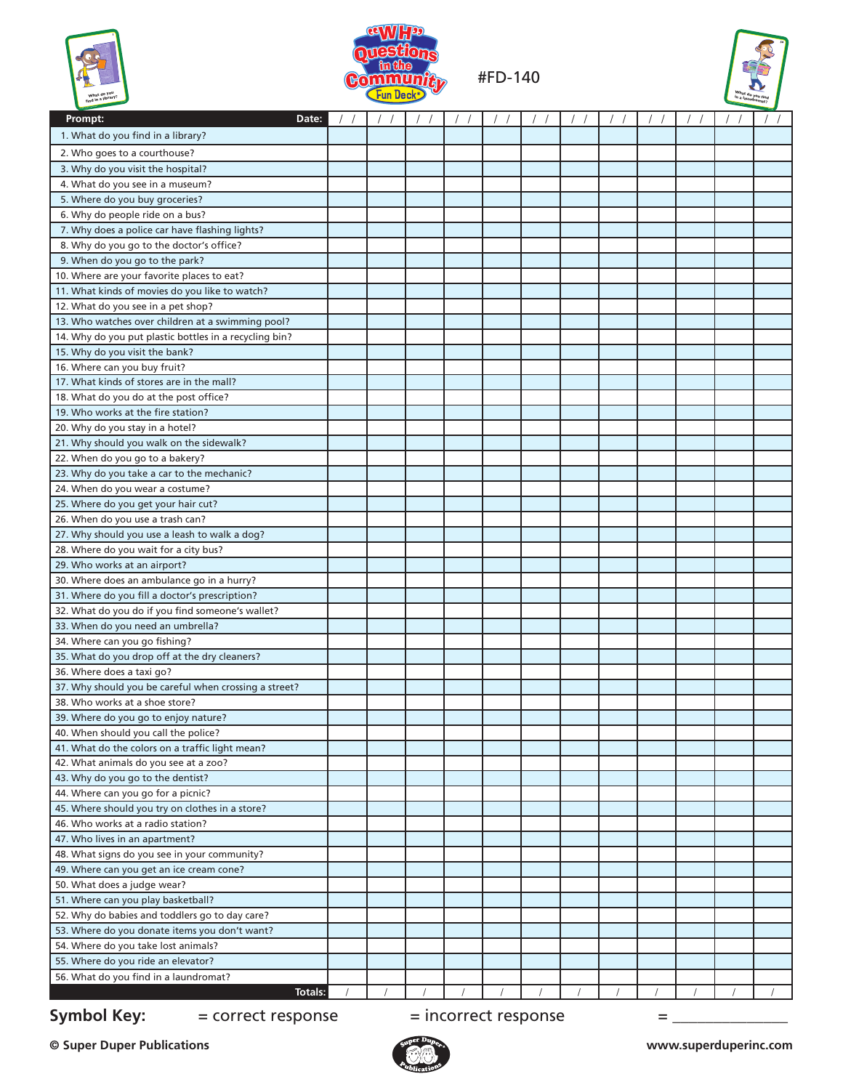| f,                                                                               |
|----------------------------------------------------------------------------------|
| What do you<br>find in a library?<br>m.<br><b>Property of the local division</b> |



#FD-140



| Prompt:<br>Date:                                       |  | //   / /   / /   / /   / /   / /   / /   / / |  |  | $\frac{1}{2}$ | 1/7 | $\vert$ / / | $\frac{1}{2}$ |
|--------------------------------------------------------|--|----------------------------------------------|--|--|---------------|-----|-------------|---------------|
| 1. What do you find in a library?                      |  |                                              |  |  |               |     |             |               |
| 2. Who goes to a courthouse?                           |  |                                              |  |  |               |     |             |               |
| 3. Why do you visit the hospital?                      |  |                                              |  |  |               |     |             |               |
| 4. What do you see in a museum?                        |  |                                              |  |  |               |     |             |               |
| 5. Where do you buy groceries?                         |  |                                              |  |  |               |     |             |               |
| 6. Why do people ride on a bus?                        |  |                                              |  |  |               |     |             |               |
| 7. Why does a police car have flashing lights?         |  |                                              |  |  |               |     |             |               |
| 8. Why do you go to the doctor's office?               |  |                                              |  |  |               |     |             |               |
| 9. When do you go to the park?                         |  |                                              |  |  |               |     |             |               |
| 10. Where are your favorite places to eat?             |  |                                              |  |  |               |     |             |               |
| 11. What kinds of movies do you like to watch?         |  |                                              |  |  |               |     |             |               |
| 12. What do you see in a pet shop?                     |  |                                              |  |  |               |     |             |               |
| 13. Who watches over children at a swimming pool?      |  |                                              |  |  |               |     |             |               |
| 14. Why do you put plastic bottles in a recycling bin? |  |                                              |  |  |               |     |             |               |
| 15. Why do you visit the bank?                         |  |                                              |  |  |               |     |             |               |
| 16. Where can you buy fruit?                           |  |                                              |  |  |               |     |             |               |
| 17. What kinds of stores are in the mall?              |  |                                              |  |  |               |     |             |               |
| 18. What do you do at the post office?                 |  |                                              |  |  |               |     |             |               |
| 19. Who works at the fire station?                     |  |                                              |  |  |               |     |             |               |
| 20. Why do you stay in a hotel?                        |  |                                              |  |  |               |     |             |               |
| 21. Why should you walk on the sidewalk?               |  |                                              |  |  |               |     |             |               |
| 22. When do you go to a bakery?                        |  |                                              |  |  |               |     |             |               |
| 23. Why do you take a car to the mechanic?             |  |                                              |  |  |               |     |             |               |
| 24. When do you wear a costume?                        |  |                                              |  |  |               |     |             |               |
| 25. Where do you get your hair cut?                    |  |                                              |  |  |               |     |             |               |
| 26. When do you use a trash can?                       |  |                                              |  |  |               |     |             |               |
| 27. Why should you use a leash to walk a dog?          |  |                                              |  |  |               |     |             |               |
| 28. Where do you wait for a city bus?                  |  |                                              |  |  |               |     |             |               |
| 29. Who works at an airport?                           |  |                                              |  |  |               |     |             |               |
| 30. Where does an ambulance go in a hurry?             |  |                                              |  |  |               |     |             |               |
| 31. Where do you fill a doctor's prescription?         |  |                                              |  |  |               |     |             |               |
| 32. What do you do if you find someone's wallet?       |  |                                              |  |  |               |     |             |               |
| 33. When do you need an umbrella?                      |  |                                              |  |  |               |     |             |               |
| 34. Where can you go fishing?                          |  |                                              |  |  |               |     |             |               |
| 35. What do you drop off at the dry cleaners?          |  |                                              |  |  |               |     |             |               |
| 36. Where does a taxi go?                              |  |                                              |  |  |               |     |             |               |
| 37. Why should you be careful when crossing a street?  |  |                                              |  |  |               |     |             |               |
| 38. Who works at a shoe store?                         |  |                                              |  |  |               |     |             |               |
| 39. Where do you go to enjoy nature?                   |  |                                              |  |  |               |     |             |               |
| 40. When should you call the police?                   |  |                                              |  |  |               |     |             |               |
| 41. What do the colors on a traffic light mean?        |  |                                              |  |  |               |     |             |               |
| 42. What animals do you see at a zoo?                  |  |                                              |  |  |               |     |             |               |
| 43. Why do you go to the dentist?                      |  |                                              |  |  |               |     |             |               |
| 44. Where can you go for a picnic?                     |  |                                              |  |  |               |     |             |               |
| 45. Where should you try on clothes in a store?        |  |                                              |  |  |               |     |             |               |
| 46. Who works at a radio station?                      |  |                                              |  |  |               |     |             |               |
| 47. Who lives in an apartment?                         |  |                                              |  |  |               |     |             |               |
| 48. What signs do you see in your community?           |  |                                              |  |  |               |     |             |               |
| 49. Where can you get an ice cream cone?               |  |                                              |  |  |               |     |             |               |
| 50. What does a judge wear?                            |  |                                              |  |  |               |     |             |               |
| 51. Where can you play basketball?                     |  |                                              |  |  |               |     |             |               |
| 52. Why do babies and toddlers go to day care?         |  |                                              |  |  |               |     |             |               |
| 53. Where do you donate items you don't want?          |  |                                              |  |  |               |     |             |               |
| 54. Where do you take lost animals?                    |  |                                              |  |  |               |     |             |               |
| 55. Where do you ride an elevator?                     |  |                                              |  |  |               |     |             |               |
| 56. What do you find in a laundromat?                  |  |                                              |  |  |               |     |             |               |
| Totals:                                                |  |                                              |  |  |               |     |             |               |

**Symbol Key:**  $=$  correct response  $=$  incorrect response  $=$